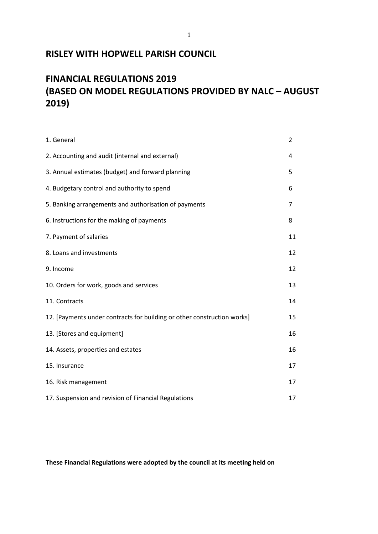## **RISLEY WITH HOPWELL PARISH COUNCIL**

# **FINANCIAL REGULATIONS 2019 (BASED ON MODEL REGULATIONS PROVIDED BY NALC – AUGUST 2019)**

| 1. General                                                              | $\overline{2}$ |
|-------------------------------------------------------------------------|----------------|
| 2. Accounting and audit (internal and external)                         | 4              |
| 3. Annual estimates (budget) and forward planning                       | 5              |
| 4. Budgetary control and authority to spend                             | 6              |
| 5. Banking arrangements and authorisation of payments                   | 7              |
| 6. Instructions for the making of payments                              | 8              |
| 7. Payment of salaries                                                  | 11             |
| 8. Loans and investments                                                | 12             |
| 9. Income                                                               | 12             |
| 10. Orders for work, goods and services                                 | 13             |
| 11. Contracts                                                           | 14             |
| 12. [Payments under contracts for building or other construction works] | 15             |
| 13. [Stores and equipment]                                              | 16             |
| 14. Assets, properties and estates                                      | 16             |
| 15. Insurance                                                           | 17             |
| 16. Risk management                                                     | 17             |
| 17. Suspension and revision of Financial Regulations                    | 17             |

**These Financial Regulations were adopted by the council at its meeting held on**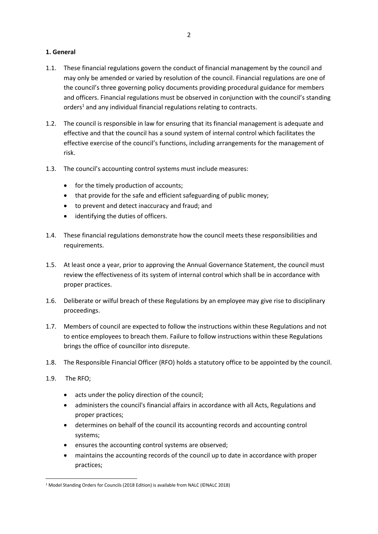### **1. General**

- 1.1. These financial regulations govern the conduct of financial management by the council and may only be amended or varied by resolution of the council. Financial regulations are one of the council's three governing policy documents providing procedural guidance for members and officers. Financial regulations must be observed in conjunction with the council's standing orders<sup>1</sup> and any individual financial regulations relating to contracts.
- 1.2. The council is responsible in law for ensuring that its financial management is adequate and effective and that the council has a sound system of internal control which facilitates the effective exercise of the council's functions, including arrangements for the management of risk.
- 1.3. The council's accounting control systems must include measures:
	- for the timely production of accounts;
	- that provide for the safe and efficient safeguarding of public money;
	- to prevent and detect inaccuracy and fraud; and
	- identifying the duties of officers.
- 1.4. These financial regulations demonstrate how the council meets these responsibilities and requirements.
- 1.5. At least once a year, prior to approving the Annual Governance Statement, the council must review the effectiveness of its system of internal control which shall be in accordance with proper practices.
- 1.6. Deliberate or wilful breach of these Regulations by an employee may give rise to disciplinary proceedings.
- 1.7. Members of council are expected to follow the instructions within these Regulations and not to entice employees to breach them. Failure to follow instructions within these Regulations brings the office of councillor into disrepute.
- 1.8. The Responsible Financial Officer (RFO) holds a statutory office to be appointed by the council.
- 1.9. The RFO;
	- acts under the policy direction of the council;
	- administers the council's financial affairs in accordance with all Acts, Regulations and proper practices;
	- determines on behalf of the council its accounting records and accounting control systems;
	- ensures the accounting control systems are observed;
	- maintains the accounting records of the council up to date in accordance with proper practices;

<sup>&</sup>lt;sup>1</sup> Model Standing Orders for Councils (2018 Edition) is available from NALC (©NALC 2018)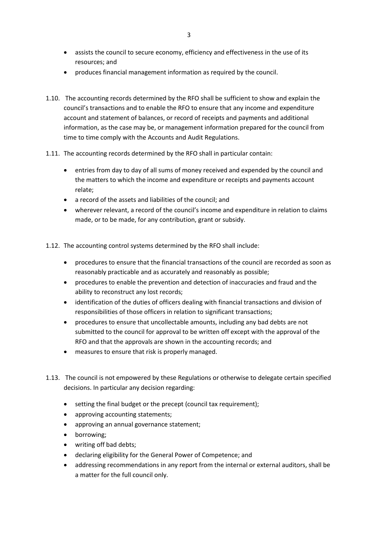- assists the council to secure economy, efficiency and effectiveness in the use of its resources; and
- produces financial management information as required by the council.
- 1.10. The accounting records determined by the RFO shall be sufficient to show and explain the council's transactions and to enable the RFO to ensure that any income and expenditure account and statement of balances, or record of receipts and payments and additional information, as the case may be, or management information prepared for the council from time to time comply with the Accounts and Audit Regulations.
- 1.11. The accounting records determined by the RFO shall in particular contain:
	- entries from day to day of all sums of money received and expended by the council and the matters to which the income and expenditure or receipts and payments account relate;
	- a record of the assets and liabilities of the council; and
	- wherever relevant, a record of the council's income and expenditure in relation to claims made, or to be made, for any contribution, grant or subsidy.
- 1.12. The accounting control systems determined by the RFO shall include:
	- procedures to ensure that the financial transactions of the council are recorded as soon as reasonably practicable and as accurately and reasonably as possible;
	- procedures to enable the prevention and detection of inaccuracies and fraud and the ability to reconstruct any lost records;
	- identification of the duties of officers dealing with financial transactions and division of responsibilities of those officers in relation to significant transactions;
	- procedures to ensure that uncollectable amounts, including any bad debts are not submitted to the council for approval to be written off except with the approval of the RFO and that the approvals are shown in the accounting records; and
	- measures to ensure that risk is properly managed.
- 1.13. The council is not empowered by these Regulations or otherwise to delegate certain specified decisions. In particular any decision regarding:
	- setting the final budget or the precept (council tax requirement);
	- approving accounting statements;
	- approving an annual governance statement;
	- borrowing;
	- writing off bad debts;
	- declaring eligibility for the General Power of Competence; and
	- addressing recommendations in any report from the internal or external auditors, shall be a matter for the full council only.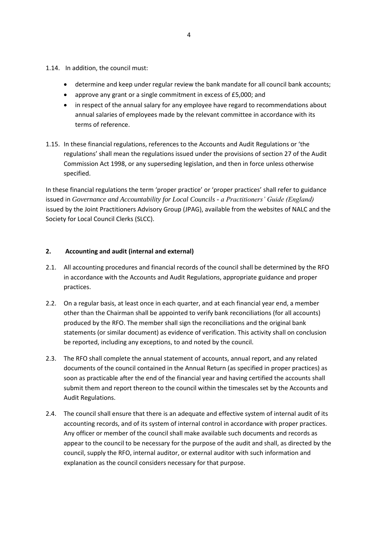- 1.14. In addition, the council must:
	- determine and keep under regular review the bank mandate for all council bank accounts;
	- approve any grant or a single commitment in excess of £5,000; and
	- in respect of the annual salary for any employee have regard to recommendations about annual salaries of employees made by the relevant committee in accordance with its terms of reference.
- 1.15. In these financial regulations, references to the Accounts and Audit Regulations or 'the regulations' shall mean the regulations issued under the provisions of section 27 of the Audit Commission Act 1998, or any superseding legislation, and then in force unless otherwise specified.

In these financial regulations the term 'proper practice' or 'proper practices' shall refer to guidance issued in *Governance and Accountability for Local Councils - a Practitioners' Guide (England)* issued by the Joint Practitioners Advisory Group (JPAG), available from the websites of NALC and the Society for Local Council Clerks (SLCC).

## **2. Accounting and audit (internal and external)**

- 2.1. All accounting procedures and financial records of the council shall be determined by the RFO in accordance with the Accounts and Audit Regulations, appropriate guidance and proper practices.
- 2.2. On a regular basis, at least once in each quarter, and at each financial year end, a member other than the Chairman shall be appointed to verify bank reconciliations (for all accounts) produced by the RFO. The member shall sign the reconciliations and the original bank statements (or similar document) as evidence of verification. This activity shall on conclusion be reported, including any exceptions, to and noted by the council.
- 2.3. The RFO shall complete the annual statement of accounts, annual report, and any related documents of the council contained in the Annual Return (as specified in proper practices) as soon as practicable after the end of the financial year and having certified the accounts shall submit them and report thereon to the council within the timescales set by the Accounts and Audit Regulations.
- 2.4. The council shall ensure that there is an adequate and effective system of internal audit of its accounting records, and of its system of internal control in accordance with proper practices. Any officer or member of the council shall make available such documents and records as appear to the council to be necessary for the purpose of the audit and shall, as directed by the council, supply the RFO, internal auditor, or external auditor with such information and explanation as the council considers necessary for that purpose.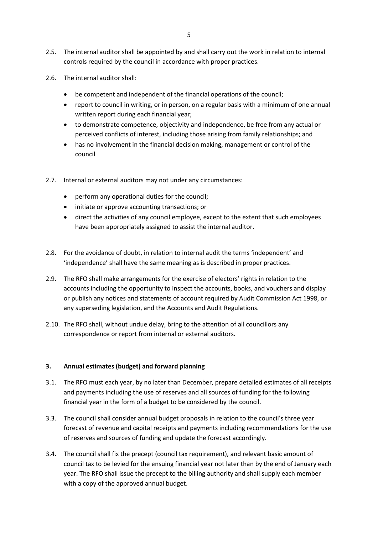- 2.5. The internal auditor shall be appointed by and shall carry out the work in relation to internal controls required by the council in accordance with proper practices.
- 2.6. The internal auditor shall:
	- be competent and independent of the financial operations of the council;
	- report to council in writing, or in person, on a regular basis with a minimum of one annual written report during each financial year;
	- to demonstrate competence, objectivity and independence, be free from any actual or perceived conflicts of interest, including those arising from family relationships; and
	- has no involvement in the financial decision making, management or control of the council
- 2.7. Internal or external auditors may not under any circumstances:
	- perform any operational duties for the council;
	- initiate or approve accounting transactions; or
	- direct the activities of any council employee, except to the extent that such employees have been appropriately assigned to assist the internal auditor.
- 2.8. For the avoidance of doubt, in relation to internal audit the terms 'independent' and 'independence' shall have the same meaning as is described in proper practices.
- 2.9. The RFO shall make arrangements for the exercise of electors' rights in relation to the accounts including the opportunity to inspect the accounts, books, and vouchers and display or publish any notices and statements of account required by Audit Commission Act 1998, or any superseding legislation, and the Accounts and Audit Regulations.
- 2.10. The RFO shall, without undue delay, bring to the attention of all councillors any correspondence or report from internal or external auditors.

## **3. Annual estimates (budget) and forward planning**

- 3.1. The RFO must each year, by no later than December, prepare detailed estimates of all receipts and payments including the use of reserves and all sources of funding for the following financial year in the form of a budget to be considered by the council.
- 3.3. The council shall consider annual budget proposals in relation to the council's three year forecast of revenue and capital receipts and payments including recommendations for the use of reserves and sources of funding and update the forecast accordingly.
- 3.4. The council shall fix the precept (council tax requirement), and relevant basic amount of council tax to be levied for the ensuing financial year not later than by the end of January each year. The RFO shall issue the precept to the billing authority and shall supply each member with a copy of the approved annual budget.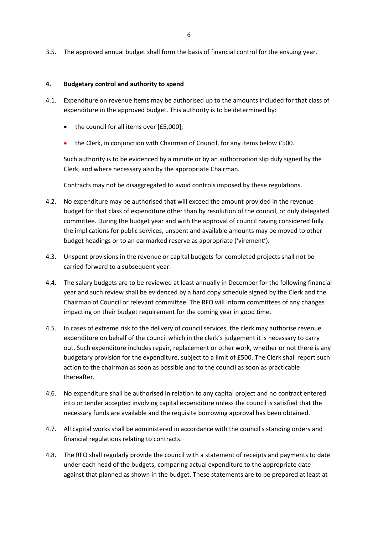3.5. The approved annual budget shall form the basis of financial control for the ensuing year.

#### **4. Budgetary control and authority to spend**

- 4.1. Expenditure on revenue items may be authorised up to the amounts included for that class of expenditure in the approved budget. This authority is to be determined by:
	- the council for all items over [£5,000];
	- the Clerk, in conjunction with Chairman of Council, for any items below £500.

Such authority is to be evidenced by a minute or by an authorisation slip duly signed by the Clerk, and where necessary also by the appropriate Chairman.

Contracts may not be disaggregated to avoid controls imposed by these regulations.

- 4.2. No expenditure may be authorised that will exceed the amount provided in the revenue budget for that class of expenditure other than by resolution of the council, or duly delegated committee. During the budget year and with the approval of council having considered fully the implications for public services, unspent and available amounts may be moved to other budget headings or to an earmarked reserve as appropriate ('virement').
- 4.3. Unspent provisions in the revenue or capital budgets for completed projects shall not be carried forward to a subsequent year.
- 4.4. The salary budgets are to be reviewed at least annually in December for the following financial year and such review shall be evidenced by a hard copy schedule signed by the Clerk and the Chairman of Council or relevant committee. The RFO will inform committees of any changes impacting on their budget requirement for the coming year in good time.
- 4.5. In cases of extreme risk to the delivery of council services, the clerk may authorise revenue expenditure on behalf of the council which in the clerk's judgement it is necessary to carry out. Such expenditure includes repair, replacement or other work, whether or not there is any budgetary provision for the expenditure, subject to a limit of £500. The Clerk shall report such action to the chairman as soon as possible and to the council as soon as practicable thereafter.
- 4.6. No expenditure shall be authorised in relation to any capital project and no contract entered into or tender accepted involving capital expenditure unless the council is satisfied that the necessary funds are available and the requisite borrowing approval has been obtained.
- 4.7. All capital works shall be administered in accordance with the council's standing orders and financial regulations relating to contracts.
- 4.8. The RFO shall regularly provide the council with a statement of receipts and payments to date under each head of the budgets, comparing actual expenditure to the appropriate date against that planned as shown in the budget. These statements are to be prepared at least at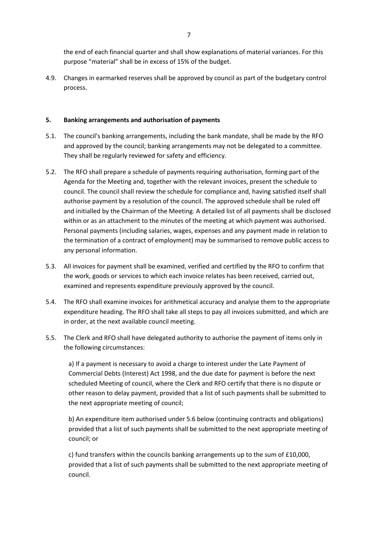the end of each financial quarter and shall show explanations of material variances. For this purpose "material" shall be in excess of 15% of the budget.

4.9. Changes in earmarked reserves shall be approved by council as part of the budgetary control process.

## **5. Banking arrangements and authorisation of payments**

- 5.1. The council's banking arrangements, including the bank mandate, shall be made by the RFO and approved by the council; banking arrangements may not be delegated to a committee. They shall be regularly reviewed for safety and efficiency.
- 5.2. The RFO shall prepare a schedule of payments requiring authorisation, forming part of the Agenda for the Meeting and, together with the relevant invoices, present the schedule to council. The council shall review the schedule for compliance and, having satisfied itself shall authorise payment by a resolution of the council. The approved schedule shall be ruled off and initialled by the Chairman of the Meeting. A detailed list of all payments shall be disclosed within or as an attachment to the minutes of the meeting at which payment was authorised. Personal payments (including salaries, wages, expenses and any payment made in relation to the termination of a contract of employment) may be summarised to remove public access to any personal information.
- 5.3. All invoices for payment shall be examined, verified and certified by the RFO to confirm that the work, goods or services to which each invoice relates has been received, carried out, examined and represents expenditure previously approved by the council.
- 5.4. The RFO shall examine invoices for arithmetical accuracy and analyse them to the appropriate expenditure heading. The RFO shall take all steps to pay all invoices submitted, and which are in order, at the next available council meeting.
- 5.5. The Clerk and RFO shall have delegated authority to authorise the payment of items only in the following circumstances:

a) If a payment is necessary to avoid a charge to interest under the Late Payment of Commercial Debts (Interest) Act 1998, and the due date for payment is before the next scheduled Meeting of council, where the Clerk and RFO certify that there is no dispute or other reason to delay payment, provided that a list of such payments shall be submitted to the next appropriate meeting of council;

b) An expenditure item authorised under 5.6 below (continuing contracts and obligations) provided that a list of such payments shall be submitted to the next appropriate meeting of council; or

c) fund transfers within the councils banking arrangements up to the sum of £10,000, provided that a list of such payments shall be submitted to the next appropriate meeting of council.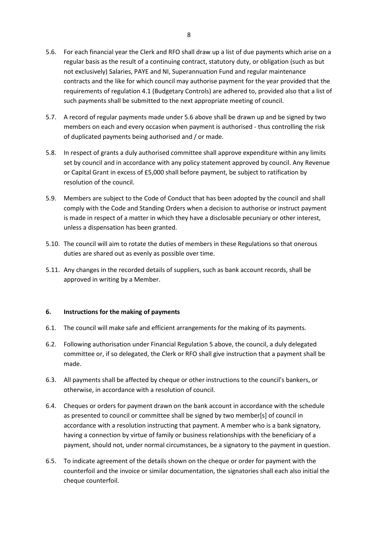- 5.6. For each financial year the Clerk and RFO shall draw up a list of due payments which arise on a regular basis as the result of a continuing contract, statutory duty, or obligation (such as but not exclusively) Salaries, PAYE and NI, Superannuation Fund and regular maintenance contracts and the like for which council may authorise payment for the year provided that the requirements of regulation 4.1 (Budgetary Controls) are adhered to, provided also that a list of such payments shall be submitted to the next appropriate meeting of council.
- 5.7. A record of regular payments made under 5.6 above shall be drawn up and be signed by two members on each and every occasion when payment is authorised - thus controlling the risk of duplicated payments being authorised and / or made.
- 5.8. In respect of grants a duly authorised committee shall approve expenditure within any limits set by council and in accordance with any policy statement approved by council. Any Revenue or Capital Grant in excess of £5,000 shall before payment, be subject to ratification by resolution of the council.
- 5.9. Members are subject to the Code of Conduct that has been adopted by the council and shall comply with the Code and Standing Orders when a decision to authorise or instruct payment is made in respect of a matter in which they have a disclosable pecuniary or other interest, unless a dispensation has been granted.
- 5.10. The council will aim to rotate the duties of members in these Regulations so that onerous duties are shared out as evenly as possible over time.
- 5.11. Any changes in the recorded details of suppliers, such as bank account records, shall be approved in writing by a Member.

## **6. Instructions for the making of payments**

- 6.1. The council will make safe and efficient arrangements for the making of its payments.
- 6.2. Following authorisation under Financial Regulation 5 above, the council, a duly delegated committee or, if so delegated, the Clerk or RFO shall give instruction that a payment shall be made.
- 6.3. All payments shall be affected by cheque or other instructions to the council's bankers, or otherwise, in accordance with a resolution of council.
- 6.4. Cheques or orders for payment drawn on the bank account in accordance with the schedule as presented to council or committee shall be signed by two member[s] of council in accordance with a resolution instructing that payment. A member who is a bank signatory, having a connection by virtue of family or business relationships with the beneficiary of a payment, should not, under normal circumstances, be a signatory to the payment in question.
- 6.5. To indicate agreement of the details shown on the cheque or order for payment with the counterfoil and the invoice or similar documentation, the signatories shall each also initial the cheque counterfoil.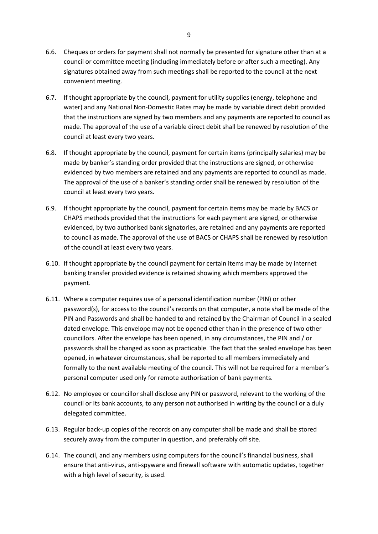- 6.6. Cheques or orders for payment shall not normally be presented for signature other than at a council or committee meeting (including immediately before or after such a meeting). Any signatures obtained away from such meetings shall be reported to the council at the next convenient meeting.
- 6.7. If thought appropriate by the council, payment for utility supplies (energy, telephone and water) and any National Non-Domestic Rates may be made by variable direct debit provided that the instructions are signed by two members and any payments are reported to council as made. The approval of the use of a variable direct debit shall be renewed by resolution of the council at least every two years.
- 6.8. If thought appropriate by the council, payment for certain items (principally salaries) may be made by banker's standing order provided that the instructions are signed, or otherwise evidenced by two members are retained and any payments are reported to council as made. The approval of the use of a banker's standing order shall be renewed by resolution of the council at least every two years.
- 6.9. If thought appropriate by the council, payment for certain items may be made by BACS or CHAPS methods provided that the instructions for each payment are signed, or otherwise evidenced, by two authorised bank signatories, are retained and any payments are reported to council as made. The approval of the use of BACS or CHAPS shall be renewed by resolution of the council at least every two years.
- 6.10. If thought appropriate by the council payment for certain items may be made by internet banking transfer provided evidence is retained showing which members approved the payment.
- 6.11. Where a computer requires use of a personal identification number (PIN) or other password(s), for access to the council's records on that computer, a note shall be made of the PIN and Passwords and shall be handed to and retained by the Chairman of Council in a sealed dated envelope. This envelope may not be opened other than in the presence of two other councillors. After the envelope has been opened, in any circumstances, the PIN and / or passwords shall be changed as soon as practicable. The fact that the sealed envelope has been opened, in whatever circumstances, shall be reported to all members immediately and formally to the next available meeting of the council. This will not be required for a member's personal computer used only for remote authorisation of bank payments.
- 6.12. No employee or councillor shall disclose any PIN or password, relevant to the working of the council or its bank accounts, to any person not authorised in writing by the council or a duly delegated committee.
- 6.13. Regular back-up copies of the records on any computer shall be made and shall be stored securely away from the computer in question, and preferably off site.
- 6.14. The council, and any members using computers for the council's financial business, shall ensure that anti-virus, anti-spyware and firewall software with automatic updates, together with a high level of security, is used.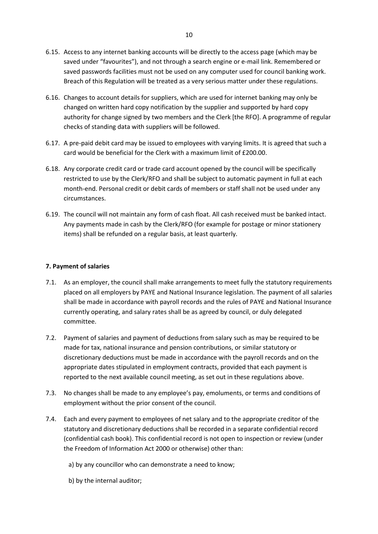- 6.15. Access to any internet banking accounts will be directly to the access page (which may be saved under "favourites"), and not through a search engine or e-mail link. Remembered or saved passwords facilities must not be used on any computer used for council banking work. Breach of this Regulation will be treated as a very serious matter under these regulations.
- 6.16. Changes to account details for suppliers, which are used for internet banking may only be changed on written hard copy notification by the supplier and supported by hard copy authority for change signed by two members and the Clerk [the RFO]. A programme of regular checks of standing data with suppliers will be followed.
- 6.17. A pre-paid debit card may be issued to employees with varying limits. It is agreed that such a card would be beneficial for the Clerk with a maximum limit of £200.00.
- 6.18. Any corporate credit card or trade card account opened by the council will be specifically restricted to use by the Clerk/RFO and shall be subject to automatic payment in full at each month-end. Personal credit or debit cards of members or staff shall not be used under any circumstances.
- 6.19. The council will not maintain any form of cash float. All cash received must be banked intact. Any payments made in cash by the Clerk/RFO (for example for postage or minor stationery items) shall be refunded on a regular basis, at least quarterly.

## **7. Payment of salaries**

- 7.1. As an employer, the council shall make arrangements to meet fully the statutory requirements placed on all employers by PAYE and National Insurance legislation. The payment of all salaries shall be made in accordance with payroll records and the rules of PAYE and National Insurance currently operating, and salary rates shall be as agreed by council, or duly delegated committee.
- 7.2. Payment of salaries and payment of deductions from salary such as may be required to be made for tax, national insurance and pension contributions, or similar statutory or discretionary deductions must be made in accordance with the payroll records and on the appropriate dates stipulated in employment contracts, provided that each payment is reported to the next available council meeting, as set out in these regulations above.
- 7.3. No changes shall be made to any employee's pay, emoluments, or terms and conditions of employment without the prior consent of the council.
- 7.4. Each and every payment to employees of net salary and to the appropriate creditor of the statutory and discretionary deductions shall be recorded in a separate confidential record (confidential cash book). This confidential record is not open to inspection or review (under the Freedom of Information Act 2000 or otherwise) other than:
	- a) by any councillor who can demonstrate a need to know;
	- b) by the internal auditor;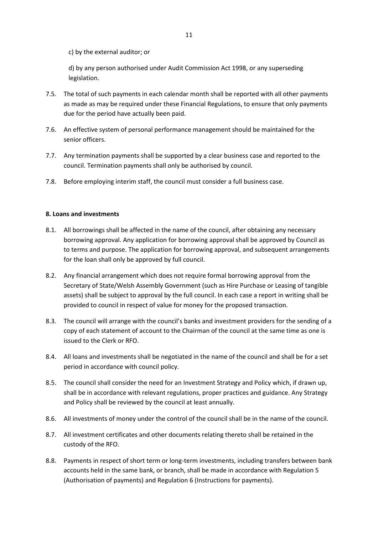c) by the external auditor; or

d) by any person authorised under Audit Commission Act 1998, or any superseding legislation.

- 7.5. The total of such payments in each calendar month shall be reported with all other payments as made as may be required under these Financial Regulations, to ensure that only payments due for the period have actually been paid.
- 7.6. An effective system of personal performance management should be maintained for the senior officers.
- 7.7. Any termination payments shall be supported by a clear business case and reported to the council. Termination payments shall only be authorised by council.
- 7.8. Before employing interim staff, the council must consider a full business case.

#### **8. Loans and investments**

- 8.1. All borrowings shall be affected in the name of the council, after obtaining any necessary borrowing approval. Any application for borrowing approval shall be approved by Council as to terms and purpose. The application for borrowing approval, and subsequent arrangements for the loan shall only be approved by full council.
- 8.2. Any financial arrangement which does not require formal borrowing approval from the Secretary of State/Welsh Assembly Government (such as Hire Purchase or Leasing of tangible assets) shall be subject to approval by the full council. In each case a report in writing shall be provided to council in respect of value for money for the proposed transaction.
- 8.3. The council will arrange with the council's banks and investment providers for the sending of a copy of each statement of account to the Chairman of the council at the same time as one is issued to the Clerk or RFO.
- 8.4. All loans and investments shall be negotiated in the name of the council and shall be for a set period in accordance with council policy.
- 8.5. The council shall consider the need for an Investment Strategy and Policy which, if drawn up, shall be in accordance with relevant regulations, proper practices and guidance. Any Strategy and Policy shall be reviewed by the council at least annually.
- 8.6. All investments of money under the control of the council shall be in the name of the council.
- 8.7. All investment certificates and other documents relating thereto shall be retained in the custody of the RFO.
- 8.8. Payments in respect of short term or long-term investments, including transfers between bank accounts held in the same bank, or branch, shall be made in accordance with Regulation 5 (Authorisation of payments) and Regulation 6 (Instructions for payments).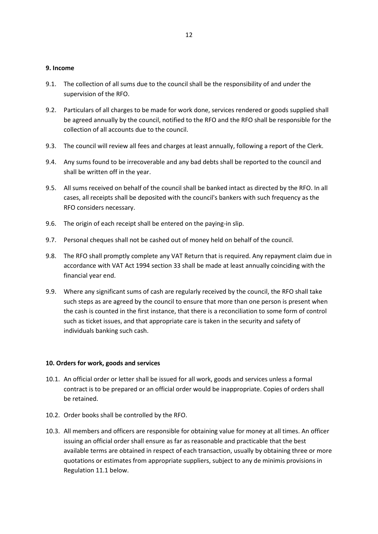#### **9. Income**

- 9.1. The collection of all sums due to the council shall be the responsibility of and under the supervision of the RFO.
- 9.2. Particulars of all charges to be made for work done, services rendered or goods supplied shall be agreed annually by the council, notified to the RFO and the RFO shall be responsible for the collection of all accounts due to the council.
- 9.3. The council will review all fees and charges at least annually, following a report of the Clerk.
- 9.4. Any sums found to be irrecoverable and any bad debts shall be reported to the council and shall be written off in the year.
- 9.5. All sums received on behalf of the council shall be banked intact as directed by the RFO. In all cases, all receipts shall be deposited with the council's bankers with such frequency as the RFO considers necessary.
- 9.6. The origin of each receipt shall be entered on the paying-in slip.
- 9.7. Personal cheques shall not be cashed out of money held on behalf of the council.
- 9.8. The RFO shall promptly complete any VAT Return that is required. Any repayment claim due in accordance with VAT Act 1994 section 33 shall be made at least annually coinciding with the financial year end.
- 9.9. Where any significant sums of cash are regularly received by the council, the RFO shall take such steps as are agreed by the council to ensure that more than one person is present when the cash is counted in the first instance, that there is a reconciliation to some form of control such as ticket issues, and that appropriate care is taken in the security and safety of individuals banking such cash.

#### **10. Orders for work, goods and services**

- 10.1. An official order or letter shall be issued for all work, goods and services unless a formal contract is to be prepared or an official order would be inappropriate. Copies of orders shall be retained.
- 10.2. Order books shall be controlled by the RFO.
- 10.3. All members and officers are responsible for obtaining value for money at all times. An officer issuing an official order shall ensure as far as reasonable and practicable that the best available terms are obtained in respect of each transaction, usually by obtaining three or more quotations or estimates from appropriate suppliers, subject to any de minimis provisions in Regulation 11.1 below.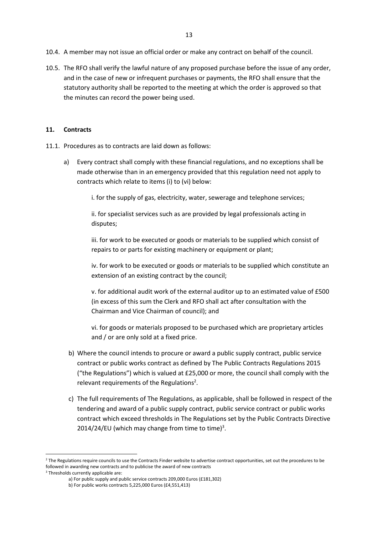10.5. The RFO shall verify the lawful nature of any proposed purchase before the issue of any order, and in the case of new or infrequent purchases or payments, the RFO shall ensure that the statutory authority shall be reported to the meeting at which the order is approved so that the minutes can record the power being used.

### **11. Contracts**

- 11.1. Procedures as to contracts are laid down as follows:
	- a) Every contract shall comply with these financial regulations, and no exceptions shall be made otherwise than in an emergency provided that this regulation need not apply to contracts which relate to items (i) to (vi) below:

i. for the supply of gas, electricity, water, sewerage and telephone services;

ii. for specialist services such as are provided by legal professionals acting in disputes;

iii. for work to be executed or goods or materials to be supplied which consist of repairs to or parts for existing machinery or equipment or plant;

iv. for work to be executed or goods or materials to be supplied which constitute an extension of an existing contract by the council;

v. for additional audit work of the external auditor up to an estimated value of £500 (in excess of this sum the Clerk and RFO shall act after consultation with the Chairman and Vice Chairman of council); and

vi. for goods or materials proposed to be purchased which are proprietary articles and / or are only sold at a fixed price.

- b) Where the council intends to procure or award a public supply contract, public service contract or public works contract as defined by The Public Contracts Regulations 2015 ("the Regulations") which is valued at £25,000 or more, the council shall comply with the relevant requirements of the Regulations<sup>2</sup>.
- c) The full requirements of The Regulations, as applicable, shall be followed in respect of the tendering and award of a public supply contract, public service contract or public works contract which exceed thresholds in The Regulations set by the Public Contracts Directive 2014/24/EU (which may change from time to time) $3$ .

<sup>&</sup>lt;sup>2</sup> The Regulations require councils to use the Contracts Finder website to advertise contract opportunities, set out the procedures to be followed in awarding new contracts and to publicise the award of new contracts

<sup>&</sup>lt;sup>3</sup> Thresholds currently applicable are:

a) For public supply and public service contracts 209,000 Euros (£181,302)

b) For public works contracts 5,225,000 Euros (£4,551,413)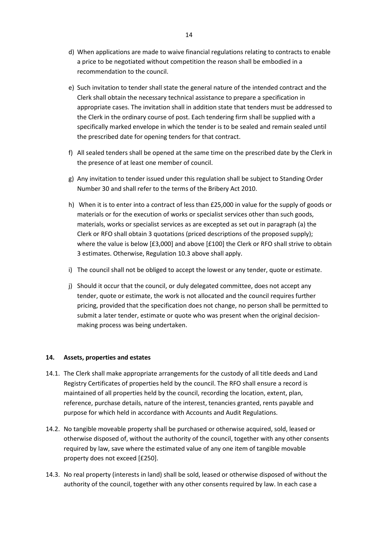- d) When applications are made to waive financial regulations relating to contracts to enable a price to be negotiated without competition the reason shall be embodied in a recommendation to the council.
- e) Such invitation to tender shall state the general nature of the intended contract and the Clerk shall obtain the necessary technical assistance to prepare a specification in appropriate cases. The invitation shall in addition state that tenders must be addressed to the Clerk in the ordinary course of post. Each tendering firm shall be supplied with a specifically marked envelope in which the tender is to be sealed and remain sealed until the prescribed date for opening tenders for that contract.
- f) All sealed tenders shall be opened at the same time on the prescribed date by the Clerk in the presence of at least one member of council.
- g) Any invitation to tender issued under this regulation shall be subject to Standing Order Number 30 and shall refer to the terms of the Bribery Act 2010.
- h) When it is to enter into a contract of less than £25,000 in value for the supply of goods or materials or for the execution of works or specialist services other than such goods, materials, works or specialist services as are excepted as set out in paragraph (a) the Clerk or RFO shall obtain 3 quotations (priced descriptions of the proposed supply); where the value is below [£3,000] and above [£100] the Clerk or RFO shall strive to obtain 3 estimates. Otherwise, Regulation 10.3 above shall apply.
- i) The council shall not be obliged to accept the lowest or any tender, quote or estimate.
- j) Should it occur that the council, or duly delegated committee, does not accept any tender, quote or estimate, the work is not allocated and the council requires further pricing, provided that the specification does not change, no person shall be permitted to submit a later tender, estimate or quote who was present when the original decisionmaking process was being undertaken.

#### **14. Assets, properties and estates**

- 14.1. The Clerk shall make appropriate arrangements for the custody of all title deeds and Land Registry Certificates of properties held by the council. The RFO shall ensure a record is maintained of all properties held by the council, recording the location, extent, plan, reference, purchase details, nature of the interest, tenancies granted, rents payable and purpose for which held in accordance with Accounts and Audit Regulations.
- 14.2. No tangible moveable property shall be purchased or otherwise acquired, sold, leased or otherwise disposed of, without the authority of the council, together with any other consents required by law, save where the estimated value of any one item of tangible movable property does not exceed [£250].
- 14.3. No real property (interests in land) shall be sold, leased or otherwise disposed of without the authority of the council, together with any other consents required by law. In each case a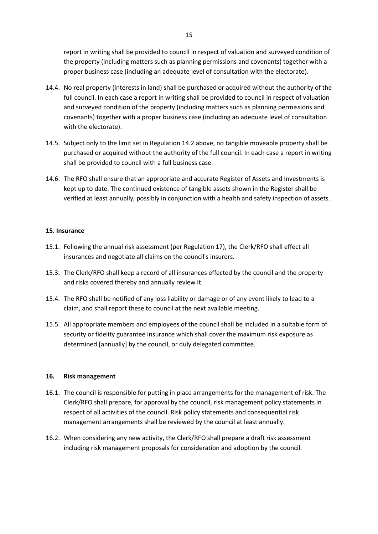report in writing shall be provided to council in respect of valuation and surveyed condition of the property (including matters such as planning permissions and covenants) together with a proper business case (including an adequate level of consultation with the electorate).

- 14.4. No real property (interests in land) shall be purchased or acquired without the authority of the full council. In each case a report in writing shall be provided to council in respect of valuation and surveyed condition of the property (including matters such as planning permissions and covenants) together with a proper business case (including an adequate level of consultation with the electorate).
- 14.5. Subject only to the limit set in Regulation 14.2 above, no tangible moveable property shall be purchased or acquired without the authority of the full council. In each case a report in writing shall be provided to council with a full business case.
- 14.6. The RFO shall ensure that an appropriate and accurate Register of Assets and Investments is kept up to date. The continued existence of tangible assets shown in the Register shall be verified at least annually, possibly in conjunction with a health and safety inspection of assets.

#### **15. Insurance**

- 15.1. Following the annual risk assessment (per Regulation 17), the Clerk/RFO shall effect all insurances and negotiate all claims on the council's insurers.
- 15.3. The Clerk/RFO shall keep a record of all insurances effected by the council and the property and risks covered thereby and annually review it.
- 15.4. The RFO shall be notified of any loss liability or damage or of any event likely to lead to a claim, and shall report these to council at the next available meeting.
- 15.5. All appropriate members and employees of the council shall be included in a suitable form of security or fidelity guarantee insurance which shall cover the maximum risk exposure as determined [annually] by the council, or duly delegated committee.

#### **16. Risk management**

- 16.1. The council is responsible for putting in place arrangements for the management of risk. The Clerk/RFO shall prepare, for approval by the council, risk management policy statements in respect of all activities of the council. Risk policy statements and consequential risk management arrangements shall be reviewed by the council at least annually.
- 16.2. When considering any new activity, the Clerk/RFO shall prepare a draft risk assessment including risk management proposals for consideration and adoption by the council.